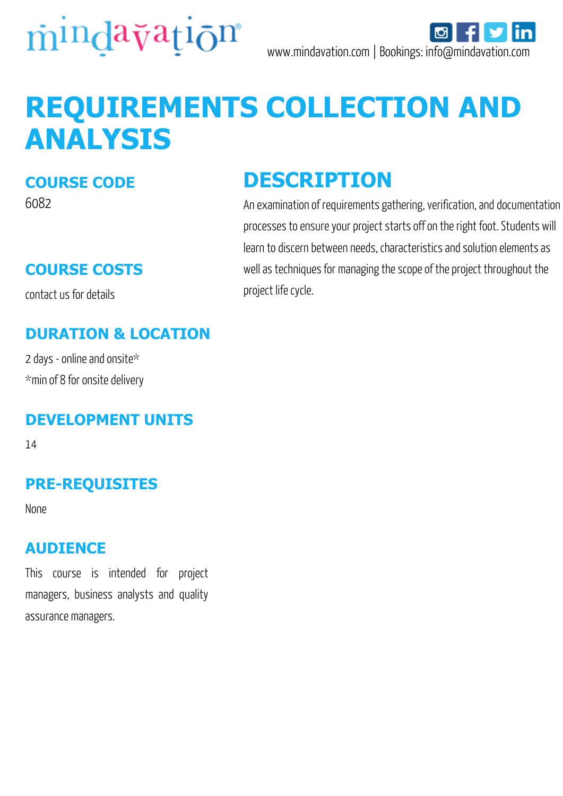

# **REQUIREMENTS COLLECTION AND ANALYSIS**

### **COURSE CODE**

6082

# **COURSE COSTS**

contact us for details

## **DURATION & LOCATION**

2 days - online and onsite\* \*min of 8 for onsite delivery

#### **DEVELOPMENT UNITS**

14

## **PRE-REQUISITES**

None

#### **AUDIENCE**

This course is intended for project managers, business analysts and quality assurance managers.

# **DESCRIPTION**

An examination of requirements gathering, verification, and documentation processes to ensure your project starts off on the right foot. Students will learn to discern between needs, characteristics and solution elements as well as techniques for managing the scope of the project throughout the project life cycle.